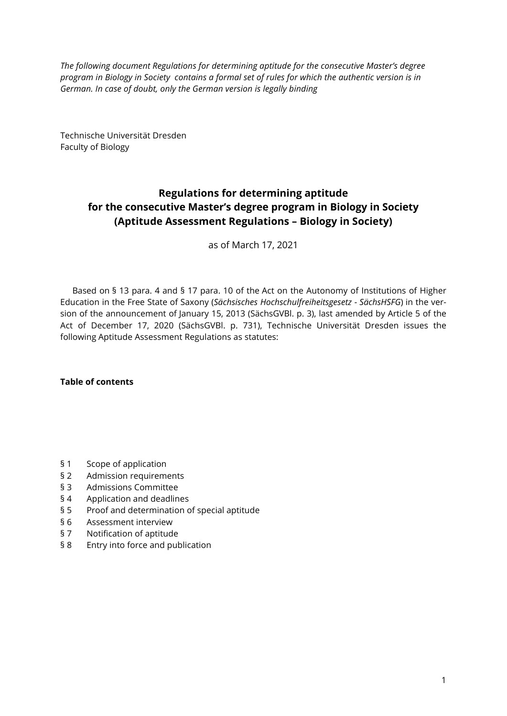*The following document Regulations for determining aptitude for the consecutive Master's degree program in Biology in Society contains a formal set of rules for which the authentic version is in German. In case of doubt, only the German version is legally binding*

Technische Universität Dresden Faculty of Biology

# **Regulations for determining aptitude for the consecutive Master's degree program in Biology in Society (Aptitude Assessment Regulations – Biology in Society)**

as of March 17, 2021

Based on § 13 para. 4 and § 17 para. 10 of the Act on the Autonomy of Institutions of Higher Education in the Free State of Saxony (*Sächsisches Hochschulfreiheitsgesetz - SächsHSFG*) in the version of the announcement of January 15, 2013 (SächsGVBl. p. 3), last amended by Article 5 of the Act of December 17, 2020 (SächsGVBl. p. 731), Technische Universität Dresden issues the [following Aptitude Assessm](#page-1-0)ent Regulations as statutes:

**[Table of contents](#page-1-1)** 

- § 1 Scope of application
- § 2 Admission requirements
- § 3 Admissions Committee
- § 4 Application and deadlines
- § 5 Proof and determination of special aptitude
- § 6 Assessment interview
- § 7 Notification of aptitude
- § 8 Entry into force and publication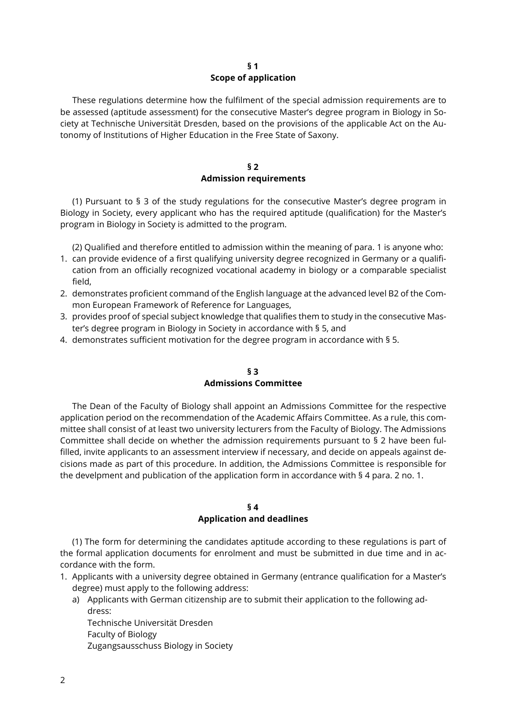## **§ 1 Scope of application**

<span id="page-1-0"></span>These regulations determine how the fulfilment of the special admission requirements are to be assessed (aptitude assessment) for the consecutive Master's degree program in Biology in Society at Technische Universität Dresden, based on the provisions of the applicable Act on the Autonomy of Institutions of Higher Education in the Free State of Saxony.

## **§ 2 Admission requirements**

(1) Pursuant to § 3 of the study regulations for the consecutive Master's degree program in Biology in Society, every applicant who has the required aptitude (qualification) for the Master's program in Biology in Society is admitted to the program.

(2) Qualified and therefore entitled to admission within the meaning of para. 1 is anyone who:

- 1. can provide evidence of a first qualifying university degree recognized in Germany or a qualification from an officially recognized vocational academy in biology or a comparable specialist field,
- 2. demonstrates proficient command of the English language at the advanced level B2 of the Common European Framework of Reference for Languages,
- 3. provides proof of special subject knowledge that qualifies them to study in the consecutive Master's degree program in Biology in Society in accordance with § 5, and
- 4. demonstrates sufficient motivation for the degree program in accordance with § 5.

## **§ 3 Admissions Committee**

The Dean of the Faculty of Biology shall appoint an Admissions Committee for the respective application period on the recommendation of the Academic Affairs Committee. As a rule, this committee shall consist of at least two university lecturers from the Faculty of Biology. The Admissions Committee shall decide on whether the admission requirements pursuant to § 2 have been fulfilled, invite applicants to an assessment interview if necessary, and decide on appeals against decisions made as part of this procedure. In addition, the Admissions Committee is responsible for the develpment and publication of the application form in accordance with § 4 para. 2 no. 1.

## **§ 4**

# **Application and deadlines**

<span id="page-1-1"></span>(1) The form for determining the candidates aptitude according to these regulations is part of the formal application documents for enrolment and must be submitted in due time and in accordance with the form.

- 1. Applicants with a university degree obtained in Germany (entrance qualification for a Master's degree) must apply to the following address:
	- a) Applicants with German citizenship are to submit their application to the following address:

Technische Universität Dresden Faculty of Biology Zugangsausschuss Biology in Society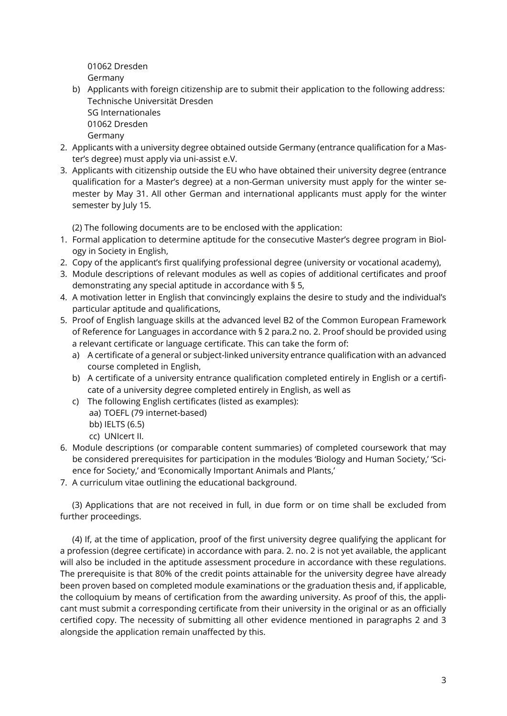01062 Dresden Germany

- b) Applicants with foreign citizenship are to submit their application to the following address: Technische Universität Dresden SG Internationales 01062 Dresden
	- Germany
- 2. Applicants with a university degree obtained outside Germany (entrance qualification for a Master's degree) must apply via uni-assist e.V.
- 3. Applicants with citizenship outside the EU who have obtained their university degree (entrance qualification for a Master's degree) at a non-German university must apply for the winter semester by May 31. All other German and international applicants must apply for the winter semester by July 15.

(2) The following documents are to be enclosed with the application:

- 1. Formal application to determine aptitude for the consecutive Master's degree program in Biology in Society in English,
- 2. Copy of the applicant's first qualifying professional degree (university or vocational academy),
- 3. Module descriptions of relevant modules as well as copies of additional certificates and proof demonstrating any special aptitude in accordance with § 5,
- 4. A motivation letter in English that convincingly explains the desire to study and the individual's particular aptitude and qualifications,
- 5. Proof of English language skills at the advanced level B2 of the Common European Framework of Reference for Languages in accordance with § 2 para.2 no. 2. Proof should be provided using a relevant certificate or language certificate. This can take the form of:
	- a) A certificate of a general or subject-linked university entrance qualification with an advanced course completed in English,
	- b) A certificate of a university entrance qualification completed entirely in English or a certificate of a university degree completed entirely in English, as well as
	- c) The following English certificates (listed as examples):
		- aa) TOEFL (79 internet-based)
		- bb) IELTS (6.5)
		- cc) UNIcert II.
- 6. Module descriptions (or comparable content summaries) of completed coursework that may be considered prerequisites for participation in the modules 'Biology and Human Society,' 'Science for Society,' and 'Economically Important Animals and Plants,'
- 7. A curriculum vitae outlining the educational background.

(3) Applications that are not received in full, in due form or on time shall be excluded from further proceedings.

(4) If, at the time of application, proof of the first university degree qualifying the applicant for a profession (degree certificate) in accordance with para. 2. no. 2 is not yet available, the applicant will also be included in the aptitude assessment procedure in accordance with these regulations. The prerequisite is that 80% of the credit points attainable for the university degree have already been proven based on completed module examinations or the graduation thesis and, if applicable, the colloquium by means of certification from the awarding university. As proof of this, the applicant must submit a corresponding certificate from their university in the original or as an officially certified copy. The necessity of submitting all other evidence mentioned in paragraphs 2 and 3 alongside the application remain unaffected by this.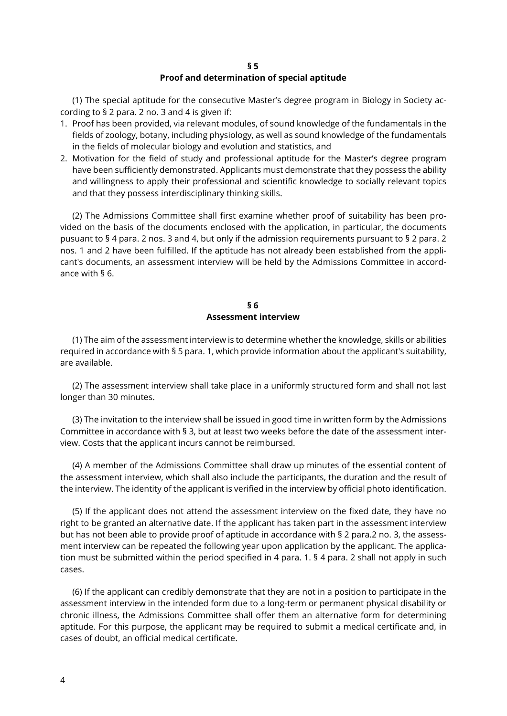#### **§ 5**

#### **Proof and determination of special aptitude**

<span id="page-3-0"></span>(1) The special aptitude for the consecutive Master's degree program in Biology in Society according to § 2 para. 2 no. 3 and 4 is given if:

- 1. Proof has been provided, via relevant modules, of sound knowledge of the fundamentals in the fields of zoology, botany, including physiology, as well as sound knowledge of the fundamentals in the fields of molecular biology and evolution and statistics, and
- 2. Motivation for the field of study and professional aptitude for the Master's degree program have been sufficiently demonstrated. Applicants must demonstrate that they possess the ability and willingness to apply their professional and scientific knowledge to socially relevant topics and that they possess interdisciplinary thinking skills.

(2) The Admissions Committee shall first examine whether proof of suitability has been provided on the basis of the documents enclosed with the application, in particular, the documents pusuant to § 4 para. 2 nos. 3 and 4, but only if the admission requirements pursuant to § 2 para. 2 nos. 1 and 2 have been fulfilled. If the aptitude has not already been established from the applicant's documents, an assessment interview will be held by the Admissions Committee in accordance with § 6.

#### **§ 6 Assessment interview**

(1) The aim of the assessment interview is to determine whether the knowledge, skills or abilities required in accordance with § 5 para. 1, which provide information about the applicant's suitability, are available.

(2) The assessment interview shall take place in a uniformly structured form and shall not last longer than 30 minutes.

(3) The invitation to the interview shall be issued in good time in written form by the Admissions Committee in accordance with § 3, but at least two weeks before the date of the assessment interview. Costs that the applicant incurs cannot be reimbursed.

(4) A member of the Admissions Committee shall draw up minutes of the essential content of the assessment interview, which shall also include the participants, the duration and the result of the interview. The identity of the applicant is verified in the interview by official photo identification.

(5) If the applicant does not attend the assessment interview on the fixed date, they have no right to be granted an alternative date. If the applicant has taken part in the assessment interview but has not been able to provide proof of aptitude in accordance with § 2 para.2 no. 3, the assessment interview can be repeated the following year upon application by the applicant. The application must be submitted within the period specified in 4 para. 1. § 4 para. 2 shall not apply in such cases.

(6) If the applicant can credibly demonstrate that they are not in a position to participate in the assessment interview in the intended form due to a long-term or permanent physical disability or chronic illness, the Admissions Committee shall offer them an alternative form for determining aptitude. For this purpose, the applicant may be required to submit a medical certificate and, in cases of doubt, an official medical certificate.